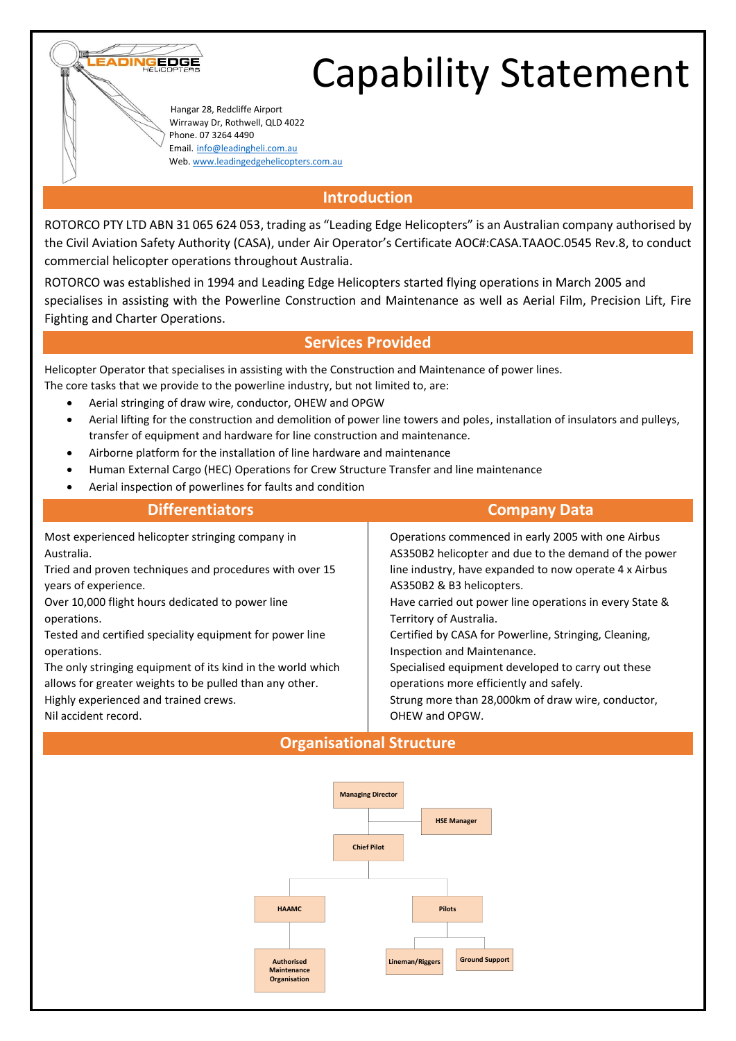

 Hangar 28, Redcliffe Airport Wirraway Dr, Rothwell, QLD 4022 Phone. 07 3264 4490 Email. [info@leadingheli.com.au](mailto:info@leadingheli.com.au) Web[. www.leadingedgehelicopters.com.au](http://www.leadingedgehelicopters.com.au/)

ADING

EDGE

### **Introduction**

ROTORCO PTY LTD ABN 31 065 624 053, trading as "Leading Edge Helicopters" is an Australian company authorised by the Civil Aviation Safety Authority (CASA), under Air Operator's Certificate AOC#:CASA.TAAOC.0545 Rev.8, to conduct commercial helicopter operations throughout Australia.

ROTORCO was established in 1994 and Leading Edge Helicopters started flying operations in March 2005 and specialises in assisting with the Powerline Construction and Maintenance as well as Aerial Film, Precision Lift, Fire Fighting and Charter Operations.

#### **Services Provided**

Helicopter Operator that specialises in assisting with the Construction and Maintenance of power lines. The core tasks that we provide to the powerline industry, but not limited to, are:

- Aerial stringing of draw wire, conductor, OHEW and OPGW
- Aerial lifting for the construction and demolition of power line towers and poles, installation of insulators and pulleys, transfer of equipment and hardware for line construction and maintenance.
- Airborne platform for the installation of line hardware and maintenance
- Human External Cargo (HEC) Operations for Crew Structure Transfer and line maintenance
- Aerial inspection of powerlines for faults and condition

| <b>Differentiators</b>                                      | <b>Company Data</b>                                     |
|-------------------------------------------------------------|---------------------------------------------------------|
| Most experienced helicopter stringing company in            | Operations commenced in early 2005 with one Airbus      |
| Australia.                                                  | AS350B2 helicopter and due to the demand of the power   |
| Tried and proven techniques and procedures with over 15     | line industry, have expanded to now operate 4 x Airbus  |
| years of experience.                                        | AS350B2 & B3 helicopters.                               |
| Over 10,000 flight hours dedicated to power line            | Have carried out power line operations in every State & |
| operations.                                                 | Territory of Australia.                                 |
| Tested and certified speciality equipment for power line    | Certified by CASA for Powerline, Stringing, Cleaning,   |
| operations.                                                 | Inspection and Maintenance.                             |
| The only stringing equipment of its kind in the world which | Specialised equipment developed to carry out these      |
| allows for greater weights to be pulled than any other.     | operations more efficiently and safely.                 |
| Highly experienced and trained crews.                       | Strung more than 28,000km of draw wire, conductor,      |
| Nil accident record.                                        | OHEW and OPGW.                                          |

## **Organisational Structure**